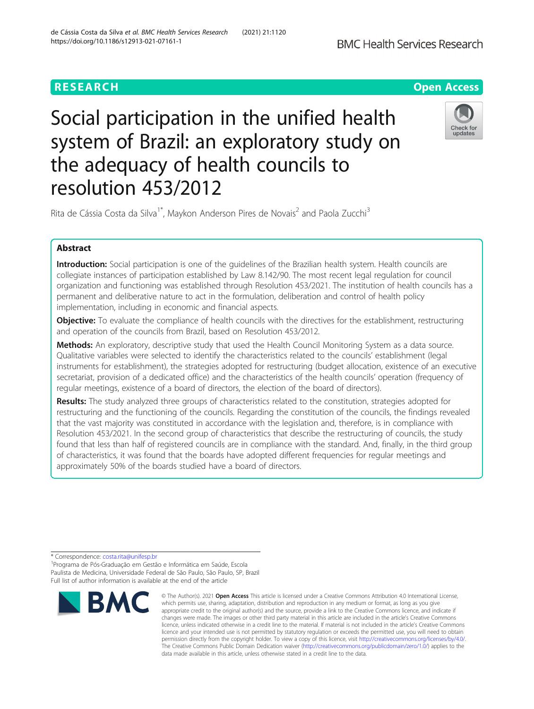

# Social participation in the unified health system of Brazil: an exploratory study on the adequacy of health councils to resolution 453/2012



Rita de Cássia Costa da Silva<sup>1\*</sup>, Maykon Anderson Pires de Novais<sup>2</sup> and Paola Zucchi<sup>3</sup>

# Abstract

Introduction: Social participation is one of the guidelines of the Brazilian health system. Health councils are collegiate instances of participation established by Law 8.142/90. The most recent legal regulation for council organization and functioning was established through Resolution 453/2021. The institution of health councils has a permanent and deliberative nature to act in the formulation, deliberation and control of health policy implementation, including in economic and financial aspects.

**Objective:** To evaluate the compliance of health councils with the directives for the establishment, restructuring and operation of the councils from Brazil, based on Resolution 453/2012.

Methods: An exploratory, descriptive study that used the Health Council Monitoring System as a data source. Qualitative variables were selected to identify the characteristics related to the councils' establishment (legal instruments for establishment), the strategies adopted for restructuring (budget allocation, existence of an executive secretariat, provision of a dedicated office) and the characteristics of the health councils' operation (frequency of regular meetings, existence of a board of directors, the election of the board of directors).

Results: The study analyzed three groups of characteristics related to the constitution, strategies adopted for restructuring and the functioning of the councils. Regarding the constitution of the councils, the findings revealed that the vast majority was constituted in accordance with the legislation and, therefore, is in compliance with Resolution 453/2021. In the second group of characteristics that describe the restructuring of councils, the study found that less than half of registered councils are in compliance with the standard. And, finally, in the third group of characteristics, it was found that the boards have adopted different frequencies for regular meetings and approximately 50% of the boards studied have a board of directors.

\* Correspondence: [costa.rita@unifesp.br](mailto:costa.rita@unifesp.br) <sup>1</sup>

Programa de Pós-Graduação em Gestão e Informática em Saúde, Escola Paulista de Medicina, Universidade Federal de São Paulo, São Paulo, SP, Brazil Full list of author information is available at the end of the article



<sup>©</sup> The Author(s), 2021 **Open Access** This article is licensed under a Creative Commons Attribution 4.0 International License, which permits use, sharing, adaptation, distribution and reproduction in any medium or format, as long as you give appropriate credit to the original author(s) and the source, provide a link to the Creative Commons licence, and indicate if changes were made. The images or other third party material in this article are included in the article's Creative Commons licence, unless indicated otherwise in a credit line to the material. If material is not included in the article's Creative Commons licence and your intended use is not permitted by statutory regulation or exceeds the permitted use, you will need to obtain permission directly from the copyright holder. To view a copy of this licence, visit [http://creativecommons.org/licenses/by/4.0/.](http://creativecommons.org/licenses/by/4.0/) The Creative Commons Public Domain Dedication waiver [\(http://creativecommons.org/publicdomain/zero/1.0/](http://creativecommons.org/publicdomain/zero/1.0/)) applies to the data made available in this article, unless otherwise stated in a credit line to the data.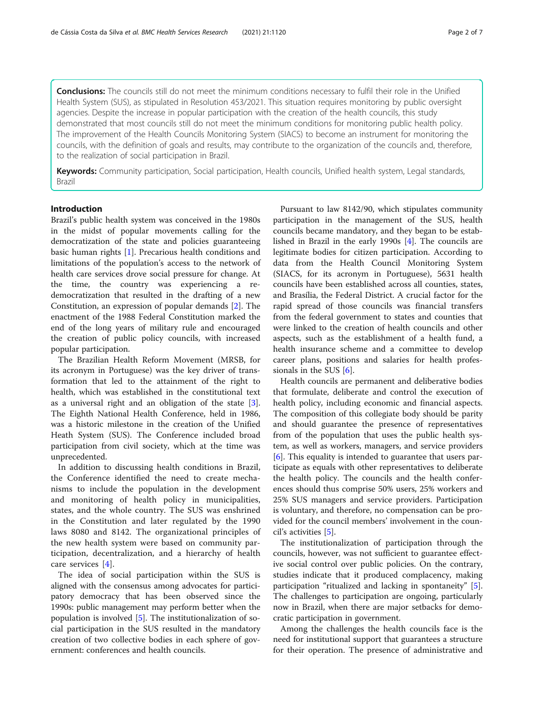Conclusions: The councils still do not meet the minimum conditions necessary to fulfil their role in the Unified Health System (SUS), as stipulated in Resolution 453/2021. This situation requires monitoring by public oversight agencies. Despite the increase in popular participation with the creation of the health councils, this study demonstrated that most councils still do not meet the minimum conditions for monitoring public health policy. The improvement of the Health Councils Monitoring System (SIACS) to become an instrument for monitoring the councils, with the definition of goals and results, may contribute to the organization of the councils and, therefore, to the realization of social participation in Brazil.

Keywords: Community participation, Social participation, Health councils, Unified health system, Legal standards, Brazil

#### Introduction

Brazil's public health system was conceived in the 1980s in the midst of popular movements calling for the democratization of the state and policies guaranteeing basic human rights [[1\]](#page-6-0). Precarious health conditions and limitations of the population's access to the network of health care services drove social pressure for change. At the time, the country was experiencing a redemocratization that resulted in the drafting of a new Constitution, an expression of popular demands [[2\]](#page-6-0). The enactment of the 1988 Federal Constitution marked the end of the long years of military rule and encouraged the creation of public policy councils, with increased popular participation.

The Brazilian Health Reform Movement (MRSB, for its acronym in Portuguese) was the key driver of transformation that led to the attainment of the right to health, which was established in the constitutional text as a universal right and an obligation of the state  $[3]$  $[3]$ . The Eighth National Health Conference, held in 1986, was a historic milestone in the creation of the Unified Heath System (SUS). The Conference included broad participation from civil society, which at the time was unprecedented.

In addition to discussing health conditions in Brazil, the Conference identified the need to create mechanisms to include the population in the development and monitoring of health policy in municipalities, states, and the whole country. The SUS was enshrined in the Constitution and later regulated by the 1990 laws 8080 and 8142. The organizational principles of the new health system were based on community participation, decentralization, and a hierarchy of health care services [\[4](#page-6-0)].

The idea of social participation within the SUS is aligned with the consensus among advocates for participatory democracy that has been observed since the 1990s: public management may perform better when the population is involved [\[5](#page-6-0)]. The institutionalization of social participation in the SUS resulted in the mandatory creation of two collective bodies in each sphere of government: conferences and health councils.

Pursuant to law 8142/90, which stipulates community participation in the management of the SUS, health councils became mandatory, and they began to be established in Brazil in the early 1990s [\[4](#page-6-0)]. The councils are legitimate bodies for citizen participation. According to data from the Health Council Monitoring System (SIACS, for its acronym in Portuguese), 5631 health councils have been established across all counties, states, and Brasília, the Federal District. A crucial factor for the rapid spread of those councils was financial transfers from the federal government to states and counties that were linked to the creation of health councils and other aspects, such as the establishment of a health fund, a health insurance scheme and a committee to develop career plans, positions and salaries for health professionals in the SUS [\[6](#page-6-0)].

Health councils are permanent and deliberative bodies that formulate, deliberate and control the execution of health policy, including economic and financial aspects. The composition of this collegiate body should be parity and should guarantee the presence of representatives from of the population that uses the public health system, as well as workers, managers, and service providers [[6\]](#page-6-0). This equality is intended to guarantee that users participate as equals with other representatives to deliberate the health policy. The councils and the health conferences should thus comprise 50% users, 25% workers and 25% SUS managers and service providers. Participation is voluntary, and therefore, no compensation can be provided for the council members' involvement in the council's activities [\[5](#page-6-0)].

The institutionalization of participation through the councils, however, was not sufficient to guarantee effective social control over public policies. On the contrary, studies indicate that it produced complacency, making participation "ritualized and lacking in spontaneity" [\[5](#page-6-0)]. The challenges to participation are ongoing, particularly now in Brazil, when there are major setbacks for democratic participation in government.

Among the challenges the health councils face is the need for institutional support that guarantees a structure for their operation. The presence of administrative and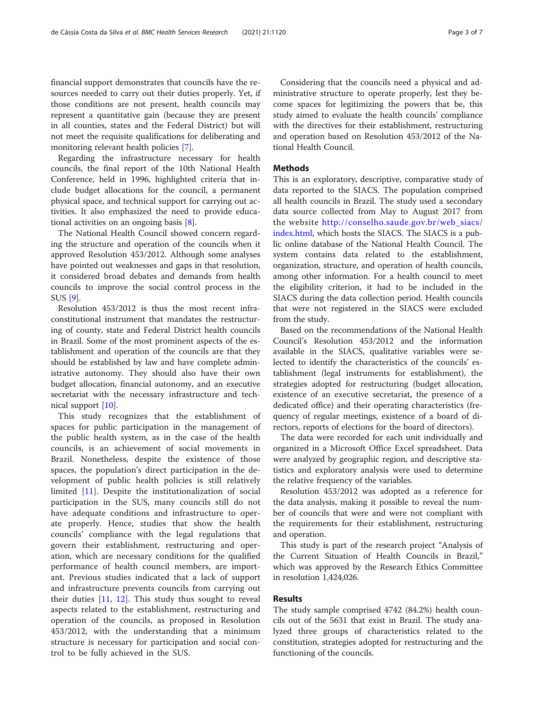financial support demonstrates that councils have the resources needed to carry out their duties properly. Yet, if those conditions are not present, health councils may represent a quantitative gain (because they are present in all counties, states and the Federal District) but will not meet the requisite qualifications for deliberating and monitoring relevant health policies [[7\]](#page-6-0).

Regarding the infrastructure necessary for health councils, the final report of the 10th National Health Conference, held in 1996, highlighted criteria that include budget allocations for the council, a permanent physical space, and technical support for carrying out activities. It also emphasized the need to provide educational activities on an ongoing basis [\[8](#page-6-0)].

The National Health Council showed concern regarding the structure and operation of the councils when it approved Resolution 453/2012. Although some analyses have pointed out weaknesses and gaps in that resolution, it considered broad debates and demands from health councils to improve the social control process in the SUS [[9\]](#page-6-0).

Resolution 453/2012 is thus the most recent infraconstitutional instrument that mandates the restructuring of county, state and Federal District health councils in Brazil. Some of the most prominent aspects of the establishment and operation of the councils are that they should be established by law and have complete administrative autonomy. They should also have their own budget allocation, financial autonomy, and an executive secretariat with the necessary infrastructure and technical support [[10](#page-6-0)].

This study recognizes that the establishment of spaces for public participation in the management of the public health system, as in the case of the health councils, is an achievement of social movements in Brazil. Nonetheless, despite the existence of those spaces, the population's direct participation in the development of public health policies is still relatively limited [\[11](#page-6-0)]. Despite the institutionalization of social participation in the SUS, many councils still do not have adequate conditions and infrastructure to operate properly. Hence, studies that show the health councils' compliance with the legal regulations that govern their establishment, restructuring and operation, which are necessary conditions for the qualified performance of health council members, are important. Previous studies indicated that a lack of support and infrastructure prevents councils from carrying out their duties [[11](#page-6-0), [12\]](#page-6-0). This study thus sought to reveal aspects related to the establishment, restructuring and operation of the councils, as proposed in Resolution 453/2012, with the understanding that a minimum structure is necessary for participation and social control to be fully achieved in the SUS.

Considering that the councils need a physical and administrative structure to operate properly, lest they become spaces for legitimizing the powers that be, this study aimed to evaluate the health councils' compliance with the directives for their establishment, restructuring and operation based on Resolution 453/2012 of the National Health Council.

#### **Methods**

This is an exploratory, descriptive, comparative study of data reported to the SIACS. The population comprised all health councils in Brazil. The study used a secondary data source collected from May to August 2017 from the website [http://conselho.saude.gov.br/web\\_siacs/](http://conselho.saude.gov.br/web_siacs/index.html) [index.html](http://conselho.saude.gov.br/web_siacs/index.html), which hosts the SIACS. The SIACS is a public online database of the National Health Council. The system contains data related to the establishment, organization, structure, and operation of health councils, among other information. For a health council to meet the eligibility criterion, it had to be included in the SIACS during the data collection period. Health councils that were not registered in the SIACS were excluded from the study.

Based on the recommendations of the National Health Council's Resolution 453/2012 and the information available in the SIACS, qualitative variables were selected to identify the characteristics of the councils' establishment (legal instruments for establishment), the strategies adopted for restructuring (budget allocation, existence of an executive secretariat, the presence of a dedicated office) and their operating characteristics (frequency of regular meetings, existence of a board of directors, reports of elections for the board of directors).

The data were recorded for each unit individually and organized in a Microsoft Office Excel spreadsheet. Data were analyzed by geographic region, and descriptive statistics and exploratory analysis were used to determine the relative frequency of the variables.

Resolution 453/2012 was adopted as a reference for the data analysis, making it possible to reveal the number of councils that were and were not compliant with the requirements for their establishment, restructuring and operation.

This study is part of the research project "Analysis of the Current Situation of Health Councils in Brazil," which was approved by the Research Ethics Committee in resolution 1,424,026.

#### Results

The study sample comprised 4742 (84.2%) health councils out of the 5631 that exist in Brazil. The study analyzed three groups of characteristics related to the constitution, strategies adopted for restructuring and the functioning of the councils.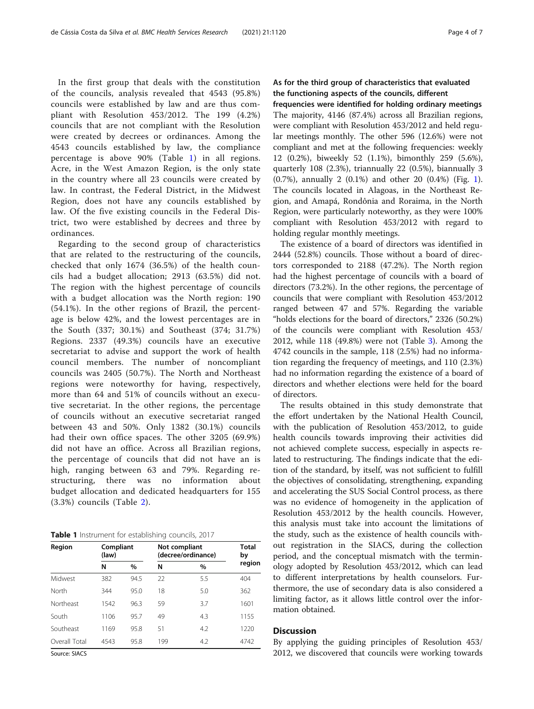In the first group that deals with the constitution of the councils, analysis revealed that 4543 (95.8%) councils were established by law and are thus compliant with Resolution 453/2012. The 199 (4.2%) councils that are not compliant with the Resolution were created by decrees or ordinances. Among the 4543 councils established by law, the compliance percentage is above 90% (Table 1) in all regions. Acre, in the West Amazon Region, is the only state in the country where all 23 councils were created by law. In contrast, the Federal District, in the Midwest Region, does not have any councils established by law. Of the five existing councils in the Federal District, two were established by decrees and three by ordinances.

Regarding to the second group of characteristics that are related to the restructuring of the councils, checked that only 1674 (36.5%) of the health councils had a budget allocation; 2913 (63.5%) did not. The region with the highest percentage of councils with a budget allocation was the North region: 190 (54.1%). In the other regions of Brazil, the percentage is below 42%, and the lowest percentages are in the South (337; 30.1%) and Southeast (374; 31.7%) Regions. 2337 (49.3%) councils have an executive secretariat to advise and support the work of health council members. The number of noncompliant councils was 2405 (50.7%). The North and Northeast regions were noteworthy for having, respectively, more than 64 and 51% of councils without an executive secretariat. In the other regions, the percentage of councils without an executive secretariat ranged between 43 and 50%. Only 1382 (30.1%) councils had their own office spaces. The other 3205 (69.9%) did not have an office. Across all Brazilian regions, the percentage of councils that did not have an is high, ranging between 63 and 79%. Regarding restructuring, there was no information about budget allocation and dedicated headquarters for 155 (3.3%) councils (Table [2](#page-4-0)).

| Region        | Compliant<br>(law) |      | Not compliant<br>(decree/ordinance) | <b>Total</b><br>by |        |  |
|---------------|--------------------|------|-------------------------------------|--------------------|--------|--|
|               | N                  | $\%$ | N                                   | $\frac{0}{0}$      | region |  |
| Midwest       | 382                | 94.5 | 22                                  | 5.5                | 404    |  |
| North         | 344                | 95.0 | 18                                  | 5.0                | 362    |  |
| Northeast     | 1542               | 96.3 | 59                                  | 3.7                | 1601   |  |
| South         | 1106               | 95.7 | 49                                  | 4.3                | 1155   |  |
| Southeast     | 1169               | 95.8 | 51                                  | 4.2                | 1220   |  |
| Overall Total | 4543               | 95.8 | 199                                 | 4.2                | 4742   |  |

Source: SIACS

## As for the third group of characteristics that evaluated the functioning aspects of the councils, different

frequencies were identified for holding ordinary meetings The majority, 4146 (87.4%) across all Brazilian regions, were compliant with Resolution 453/2012 and held regular meetings monthly. The other 596 (12.6%) were not compliant and met at the following frequencies: weekly 12 (0.2%), biweekly 52 (1.1%), bimonthly 259 (5.6%), quarterly 108 (2.3%), triannually 22 (0.5%), biannually 3 (0.7%), annually 2 (0.1%) and other 20 (0.4%) (Fig. [1](#page-4-0)). The councils located in Alagoas, in the Northeast Region, and Amapá, Rondônia and Roraima, in the North Region, were particularly noteworthy, as they were 100% compliant with Resolution 453/2012 with regard to holding regular monthly meetings.

The existence of a board of directors was identified in 2444 (52.8%) councils. Those without a board of directors corresponded to 2188 (47.2%). The North region had the highest percentage of councils with a board of directors (73.2%). In the other regions, the percentage of councils that were compliant with Resolution 453/2012 ranged between 47 and 57%. Regarding the variable "holds elections for the board of directors," 2326 (50.2%) of the councils were compliant with Resolution 453/ 2012, while 118 (49.8%) were not (Table [3\)](#page-5-0). Among the 4742 councils in the sample, 118 (2.5%) had no information regarding the frequency of meetings, and 110 (2.3%) had no information regarding the existence of a board of directors and whether elections were held for the board of directors.

The results obtained in this study demonstrate that the effort undertaken by the National Health Council, with the publication of Resolution 453/2012, to guide health councils towards improving their activities did not achieved complete success, especially in aspects related to restructuring. The findings indicate that the edition of the standard, by itself, was not sufficient to fulfill the objectives of consolidating, strengthening, expanding and accelerating the SUS Social Control process, as there was no evidence of homogeneity in the application of Resolution 453/2012 by the health councils. However, this analysis must take into account the limitations of the study, such as the existence of health councils without registration in the SIACS, during the collection period, and the conceptual mismatch with the terminology adopted by Resolution 453/2012, which can lead to different interpretations by health counselors. Furthermore, the use of secondary data is also considered a limiting factor, as it allows little control over the information obtained.

#### **Discussion**

By applying the guiding principles of Resolution 453/ 2012, we discovered that councils were working towards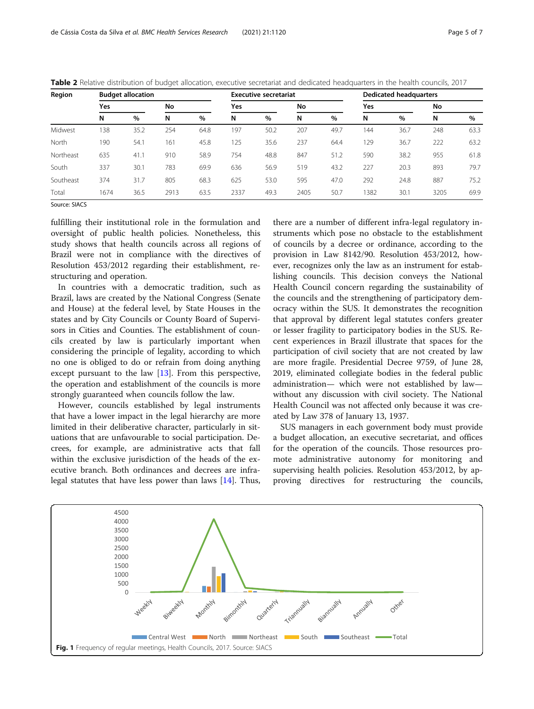| Region    | <b>Budget allocation</b> |      |      |      | <b>Executive secretariat</b> |      |      |      | <b>Dedicated headquarters</b> |      |      |      |
|-----------|--------------------------|------|------|------|------------------------------|------|------|------|-------------------------------|------|------|------|
|           | Yes                      |      | No   |      | Yes                          |      | No   |      | Yes                           |      | No   |      |
|           | N                        | %    | N    | %    | N                            | $\%$ | N    | $\%$ | N                             | %    | N    | $\%$ |
| Midwest   | 138                      | 35.2 | 254  | 64.8 | 197                          | 50.2 | 207  | 49.7 | 144                           | 36.7 | 248  | 63.3 |
| North     | 190                      | 54.1 | 161  | 45.8 | 125                          | 35.6 | 237  | 64.4 | 129                           | 36.7 | 222  | 63.2 |
| Northeast | 635                      | 41.1 | 910  | 58.9 | 754                          | 48.8 | 847  | 51.2 | 590                           | 38.2 | 955  | 61.8 |
| South     | 337                      | 30.1 | 783  | 69.9 | 636                          | 56.9 | 519  | 43.2 | 227                           | 20.3 | 893  | 79.7 |
| Southeast | 374                      | 31.7 | 805  | 68.3 | 625                          | 53.0 | 595  | 47.0 | 292                           | 24.8 | 887  | 75.2 |
| Total     | 1674                     | 36.5 | 2913 | 63.5 | 2337                         | 49.3 | 2405 | 50.7 | 1382                          | 30.1 | 3205 | 69.9 |

<span id="page-4-0"></span>Table 2 Relative distribution of budget allocation, executive secretariat and dedicated headquarters in the health councils, 2017

Source: SIACS

fulfilling their institutional role in the formulation and oversight of public health policies. Nonetheless, this study shows that health councils across all regions of Brazil were not in compliance with the directives of Resolution 453/2012 regarding their establishment, restructuring and operation.

In countries with a democratic tradition, such as Brazil, laws are created by the National Congress (Senate and House) at the federal level, by State Houses in the states and by City Councils or County Board of Supervisors in Cities and Counties. The establishment of councils created by law is particularly important when considering the principle of legality, according to which no one is obliged to do or refrain from doing anything except pursuant to the law [\[13](#page-6-0)]. From this perspective, the operation and establishment of the councils is more strongly guaranteed when councils follow the law.

However, councils established by legal instruments that have a lower impact in the legal hierarchy are more limited in their deliberative character, particularly in situations that are unfavourable to social participation. Decrees, for example, are administrative acts that fall within the exclusive jurisdiction of the heads of the executive branch. Both ordinances and decrees are infralegal statutes that have less power than laws [[14\]](#page-6-0). Thus,

there are a number of different infra-legal regulatory instruments which pose no obstacle to the establishment of councils by a decree or ordinance, according to the provision in Law 8142/90. Resolution 453/2012, however, recognizes only the law as an instrument for establishing councils. This decision conveys the National Health Council concern regarding the sustainability of the councils and the strengthening of participatory democracy within the SUS. It demonstrates the recognition that approval by different legal statutes confers greater or lesser fragility to participatory bodies in the SUS. Recent experiences in Brazil illustrate that spaces for the participation of civil society that are not created by law are more fragile. Presidential Decree 9759, of June 28, 2019, eliminated collegiate bodies in the federal public administration— which were not established by law without any discussion with civil society. The National Health Council was not affected only because it was created by Law 378 of January 13, 1937.

SUS managers in each government body must provide a budget allocation, an executive secretariat, and offices for the operation of the councils. Those resources promote administrative autonomy for monitoring and supervising health policies. Resolution 453/2012, by approving directives for restructuring the councils,

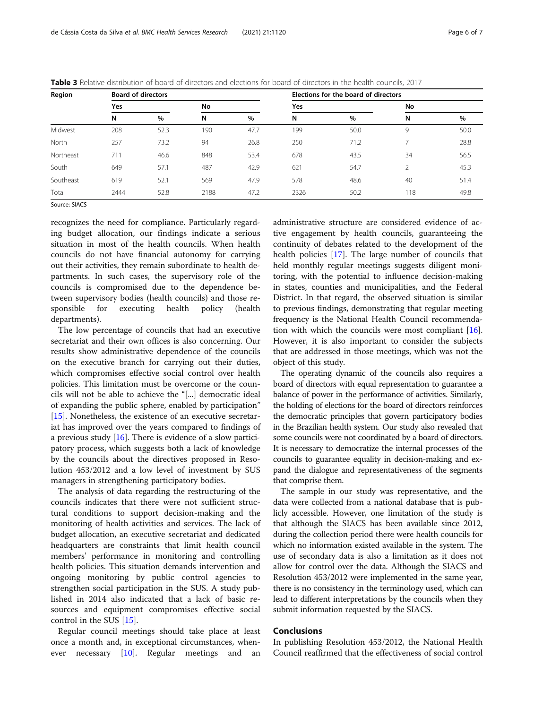| Region    | <b>Board of directors</b> |      |      |      | Elections for the board of directors |      |                |      |  |
|-----------|---------------------------|------|------|------|--------------------------------------|------|----------------|------|--|
|           | Yes                       |      |      | No   |                                      |      | No             |      |  |
|           | N                         | $\%$ | N    | $\%$ | N                                    | $\%$ | N              | $\%$ |  |
| Midwest   | 208                       | 52.3 | 190  | 47.7 | 199                                  | 50.0 | 9              | 50.0 |  |
| North     | 257                       | 73.2 | 94   | 26.8 | 250                                  | 71.2 |                | 28.8 |  |
| Northeast | 711                       | 46.6 | 848  | 53.4 | 678                                  | 43.5 | 34             | 56.5 |  |
| South     | 649                       | 57.1 | 487  | 42.9 | 621                                  | 54.7 | $\mathfrak{D}$ | 45.3 |  |
| Southeast | 619                       | 52.1 | 569  | 47.9 | 578                                  | 48.6 | 40             | 51.4 |  |
| Total     | 2444                      | 52.8 | 2188 | 47.2 | 2326                                 | 50.2 | 118            | 49.8 |  |

<span id="page-5-0"></span>Table 3 Relative distribution of board of directors and elections for board of directors in the health councils, 2017

Source: SIACS

recognizes the need for compliance. Particularly regarding budget allocation, our findings indicate a serious situation in most of the health councils. When health councils do not have financial autonomy for carrying out their activities, they remain subordinate to health departments. In such cases, the supervisory role of the councils is compromised due to the dependence between supervisory bodies (health councils) and those responsible for executing health policy (health departments).

The low percentage of councils that had an executive secretariat and their own offices is also concerning. Our results show administrative dependence of the councils on the executive branch for carrying out their duties, which compromises effective social control over health policies. This limitation must be overcome or the councils will not be able to achieve the "[...] democratic ideal of expanding the public sphere, enabled by participation" [[15\]](#page-6-0). Nonetheless, the existence of an executive secretariat has improved over the years compared to findings of a previous study [\[16](#page-6-0)]. There is evidence of a slow participatory process, which suggests both a lack of knowledge by the councils about the directives proposed in Resolution 453/2012 and a low level of investment by SUS managers in strengthening participatory bodies.

The analysis of data regarding the restructuring of the councils indicates that there were not sufficient structural conditions to support decision-making and the monitoring of health activities and services. The lack of budget allocation, an executive secretariat and dedicated headquarters are constraints that limit health council members' performance in monitoring and controlling health policies. This situation demands intervention and ongoing monitoring by public control agencies to strengthen social participation in the SUS. A study published in 2014 also indicated that a lack of basic resources and equipment compromises effective social control in the SUS [\[15\]](#page-6-0).

Regular council meetings should take place at least once a month and, in exceptional circumstances, whenever necessary [[10\]](#page-6-0). Regular meetings and an administrative structure are considered evidence of active engagement by health councils, guaranteeing the continuity of debates related to the development of the health policies [\[17\]](#page-6-0). The large number of councils that held monthly regular meetings suggests diligent monitoring, with the potential to influence decision-making in states, counties and municipalities, and the Federal District. In that regard, the observed situation is similar to previous findings, demonstrating that regular meeting frequency is the National Health Council recommendation with which the councils were most compliant  $[16]$  $[16]$ . However, it is also important to consider the subjects that are addressed in those meetings, which was not the object of this study.

The operating dynamic of the councils also requires a board of directors with equal representation to guarantee a balance of power in the performance of activities. Similarly, the holding of elections for the board of directors reinforces the democratic principles that govern participatory bodies in the Brazilian health system. Our study also revealed that some councils were not coordinated by a board of directors. It is necessary to democratize the internal processes of the councils to guarantee equality in decision-making and expand the dialogue and representativeness of the segments that comprise them.

The sample in our study was representative, and the data were collected from a national database that is publicly accessible. However, one limitation of the study is that although the SIACS has been available since 2012, during the collection period there were health councils for which no information existed available in the system. The use of secondary data is also a limitation as it does not allow for control over the data. Although the SIACS and Resolution 453/2012 were implemented in the same year, there is no consistency in the terminology used, which can lead to different interpretations by the councils when they submit information requested by the SIACS.

### Conclusions

In publishing Resolution 453/2012, the National Health Council reaffirmed that the effectiveness of social control